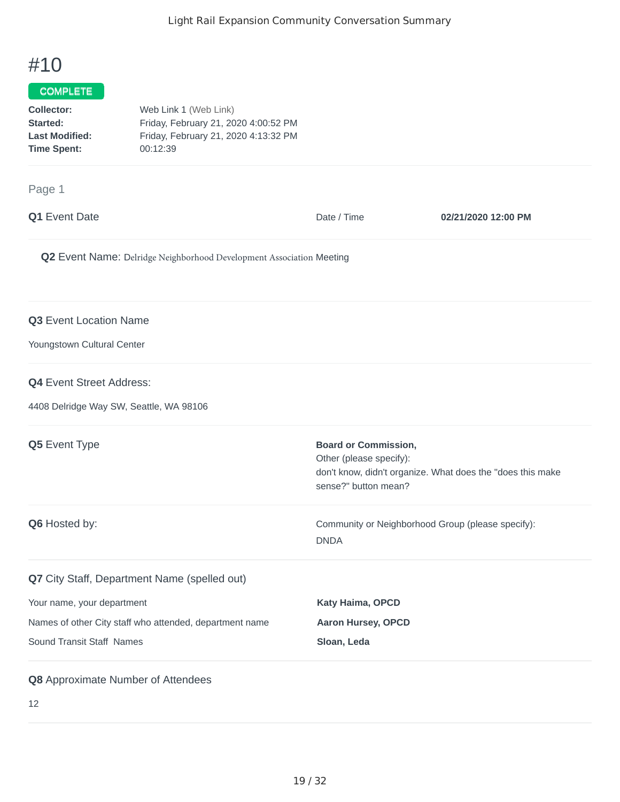# #10

## **COMPLETE**

| <b>Collector:</b>     | Web Link 1 (Web Link)                |
|-----------------------|--------------------------------------|
| <b>Started:</b>       | Friday, February 21, 2020 4:00:52 PM |
| <b>Last Modified:</b> | Friday, February 21, 2020 4:13:32 PM |
| Time Spent:           | 00:12:39                             |
|                       |                                      |

#### Page 1

| $\sim$ $\sim$ $\sim$ $\sim$                                                |                                                                                |                                                            |
|----------------------------------------------------------------------------|--------------------------------------------------------------------------------|------------------------------------------------------------|
| Q1 Event Date                                                              | Date / Time                                                                    | 02/21/2020 12:00 PM                                        |
| Q2 Event Name: Delridge Neighborhood Development Association Meeting       |                                                                                |                                                            |
| Q3 Event Location Name<br>Youngstown Cultural Center                       |                                                                                |                                                            |
| <b>Q4</b> Event Street Address:<br>4408 Delridge Way SW, Seattle, WA 98106 |                                                                                |                                                            |
| Q5 Event Type                                                              | <b>Board or Commission,</b><br>Other (please specify):<br>sense?" button mean? | don't know, didn't organize. What does the "does this make |
| Q6 Hosted by:                                                              | Community or Neighborhood Group (please specify):<br><b>DNDA</b>               |                                                            |
| Q7 City Staff, Department Name (spelled out)                               |                                                                                |                                                            |
| Your name, your department                                                 | Katy Haima, OPCD                                                               |                                                            |
| Names of other City staff who attended, department name                    | <b>Aaron Hursey, OPCD</b>                                                      |                                                            |

### **Q8** Approximate Number of Attendees

Sound Transit Staff Names **Sloan, Leda**